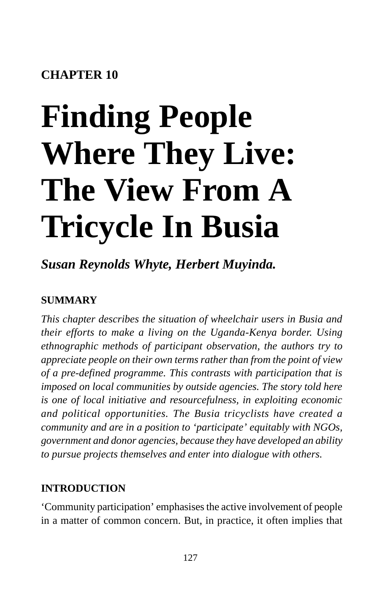# **CHAPTER 10**

# **Finding People Where They Live: The View From A Tricycle In Busia**

*Susan Reynolds Whyte, Herbert Muyinda.*

#### **SUMMARY**

*This chapter describes the situation of wheelchair users in Busia and their efforts to make a living on the Uganda-Kenya border. Using ethnographic methods of participant observation, the authors try to appreciate people on their own terms rather than from the point of view of a pre-defined programme. This contrasts with participation that is imposed on local communities by outside agencies. The story told here is one of local initiative and resourcefulness, in exploiting economic and political opportunities. The Busia tricyclists have created a community and are in a position to 'participate' equitably with NGOs, government and donor agencies, because they have developed an ability to pursue projects themselves and enter into dialogue with others.*

#### **INTRODUCTION**

'Community participation' emphasises the active involvement of people in a matter of common concern. But, in practice, it often implies that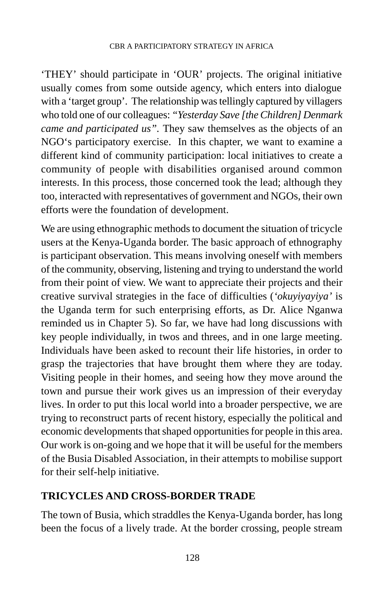'THEY' should participate in 'OUR' projects. The original initiative usually comes from some outside agency, which enters into dialogue with a 'target group'. The relationship was tellingly captured by villagers who told one of our colleagues: *"Yesterday Save [the Children] Denmark came and participated us".* They saw themselves as the objects of an NGO's participatory exercise. In this chapter, we want to examine a different kind of community participation: local initiatives to create a community of people with disabilities organised around common interests. In this process, those concerned took the lead; although they too, interacted with representatives of government and NGOs, their own efforts were the foundation of development.

We are using ethnographic methods to document the situation of tricycle users at the Kenya-Uganda border. The basic approach of ethnography is participant observation. This means involving oneself with members of the community, observing, listening and trying to understand the world from their point of view. We want to appreciate their projects and their creative survival strategies in the face of difficulties (*'okuyiyayiya'* is the Uganda term for such enterprising efforts, as Dr. Alice Nganwa reminded us in Chapter 5). So far, we have had long discussions with key people individually, in twos and threes, and in one large meeting. Individuals have been asked to recount their life histories, in order to grasp the trajectories that have brought them where they are today. Visiting people in their homes, and seeing how they move around the town and pursue their work gives us an impression of their everyday lives. In order to put this local world into a broader perspective, we are trying to reconstruct parts of recent history, especially the political and economic developments that shaped opportunities for people in this area. Our work is on-going and we hope that it will be useful for the members of the Busia Disabled Association, in their attempts to mobilise support for their self-help initiative.

#### **TRICYCLES AND CROSS-BORDER TRADE**

The town of Busia, which straddles the Kenya-Uganda border, has long been the focus of a lively trade. At the border crossing, people stream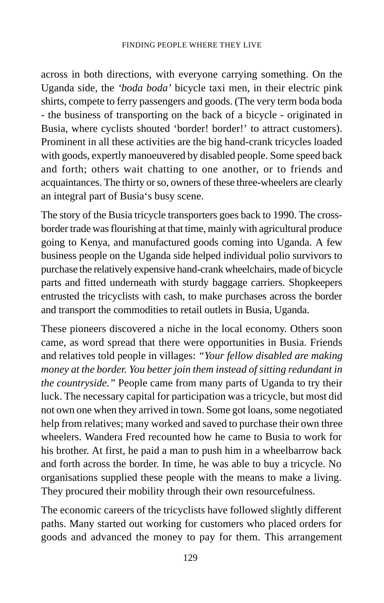across in both directions, with everyone carrying something. On the Uganda side, the *'boda boda'* bicycle taxi men, in their electric pink shirts, compete to ferry passengers and goods. (The very term boda boda - the business of transporting on the back of a bicycle - originated in Busia, where cyclists shouted 'border! border!' to attract customers). Prominent in all these activities are the big hand-crank tricycles loaded with goods, expertly manoeuvered by disabled people. Some speed back and forth; others wait chatting to one another, or to friends and acquaintances. The thirty or so, owners of these three-wheelers are clearly an integral part of Busia's busy scene.

The story of the Busia tricycle transporters goes back to 1990. The crossborder trade was flourishing at that time, mainly with agricultural produce going to Kenya, and manufactured goods coming into Uganda. A few business people on the Uganda side helped individual polio survivors to purchase the relatively expensive hand-crank wheelchairs, made of bicycle parts and fitted underneath with sturdy baggage carriers. Shopkeepers entrusted the tricyclists with cash, to make purchases across the border and transport the commodities to retail outlets in Busia, Uganda.

These pioneers discovered a niche in the local economy. Others soon came, as word spread that there were opportunities in Busia. Friends and relatives told people in villages: *"Your fellow disabled are making money at the border. You better join them instead of sitting redundant in the countryside."* People came from many parts of Uganda to try their luck. The necessary capital for participation was a tricycle, but most did not own one when they arrived in town. Some got loans, some negotiated help from relatives; many worked and saved to purchase their own three wheelers. Wandera Fred recounted how he came to Busia to work for his brother. At first, he paid a man to push him in a wheelbarrow back and forth across the border. In time, he was able to buy a tricycle. No organisations supplied these people with the means to make a living. They procured their mobility through their own resourcefulness.

The economic careers of the tricyclists have followed slightly different paths. Many started out working for customers who placed orders for goods and advanced the money to pay for them. This arrangement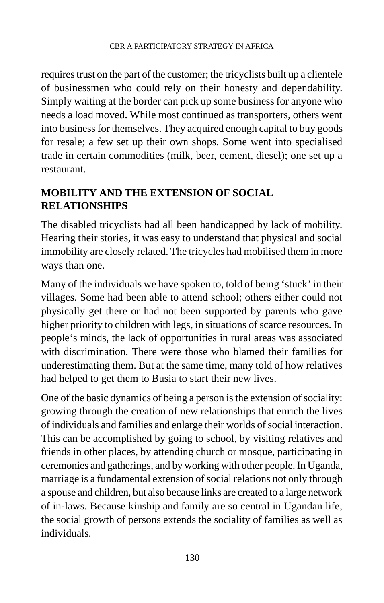requires trust on the part of the customer; the tricyclists built up a clientele of businessmen who could rely on their honesty and dependability. Simply waiting at the border can pick up some business for anyone who needs a load moved. While most continued as transporters, others went into business for themselves. They acquired enough capital to buy goods for resale; a few set up their own shops. Some went into specialised trade in certain commodities (milk, beer, cement, diesel); one set up a restaurant.

#### **MOBILITY AND THE EXTENSION OF SOCIAL RELATIONSHIPS**

The disabled tricyclists had all been handicapped by lack of mobility. Hearing their stories, it was easy to understand that physical and social immobility are closely related. The tricycles had mobilised them in more ways than one.

Many of the individuals we have spoken to, told of being 'stuck' in their villages. Some had been able to attend school; others either could not physically get there or had not been supported by parents who gave higher priority to children with legs, in situations of scarce resources. In people's minds, the lack of opportunities in rural areas was associated with discrimination. There were those who blamed their families for underestimating them. But at the same time, many told of how relatives had helped to get them to Busia to start their new lives.

One of the basic dynamics of being a person is the extension of sociality: growing through the creation of new relationships that enrich the lives of individuals and families and enlarge their worlds of social interaction. This can be accomplished by going to school, by visiting relatives and friends in other places, by attending church or mosque, participating in ceremonies and gatherings, and by working with other people. In Uganda, marriage is a fundamental extension of social relations not only through a spouse and children, but also because links are created to a large network of in-laws. Because kinship and family are so central in Ugandan life, the social growth of persons extends the sociality of families as well as individuals.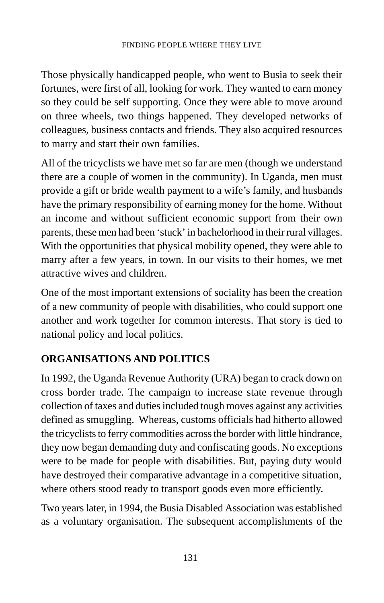Those physically handicapped people, who went to Busia to seek their fortunes, were first of all, looking for work. They wanted to earn money so they could be self supporting. Once they were able to move around on three wheels, two things happened. They developed networks of colleagues, business contacts and friends. They also acquired resources to marry and start their own families.

All of the tricyclists we have met so far are men (though we understand there are a couple of women in the community). In Uganda, men must provide a gift or bride wealth payment to a wife's family, and husbands have the primary responsibility of earning money for the home. Without an income and without sufficient economic support from their own parents, these men had been 'stuck' in bachelorhood in their rural villages. With the opportunities that physical mobility opened, they were able to marry after a few years, in town. In our visits to their homes, we met attractive wives and children.

One of the most important extensions of sociality has been the creation of a new community of people with disabilities, who could support one another and work together for common interests. That story is tied to national policy and local politics.

## **ORGANISATIONS AND POLITICS**

In 1992, the Uganda Revenue Authority (URA) began to crack down on cross border trade. The campaign to increase state revenue through collection of taxes and duties included tough moves against any activities defined as smuggling. Whereas, customs officials had hitherto allowed the tricyclists to ferry commodities across the border with little hindrance, they now began demanding duty and confiscating goods. No exceptions were to be made for people with disabilities. But, paying duty would have destroyed their comparative advantage in a competitive situation, where others stood ready to transport goods even more efficiently.

Two years later, in 1994, the Busia Disabled Association was established as a voluntary organisation. The subsequent accomplishments of the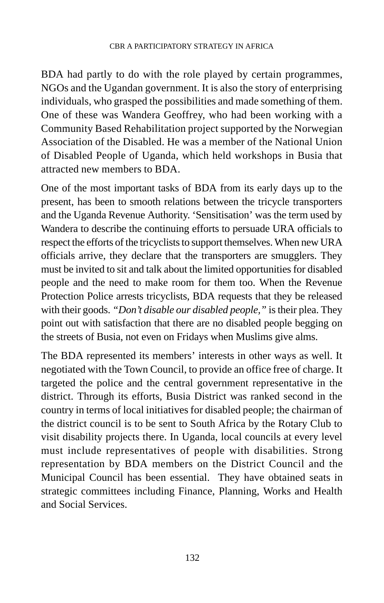BDA had partly to do with the role played by certain programmes, NGOs and the Ugandan government. It is also the story of enterprising individuals, who grasped the possibilities and made something of them. One of these was Wandera Geoffrey, who had been working with a Community Based Rehabilitation project supported by the Norwegian Association of the Disabled. He was a member of the National Union of Disabled People of Uganda, which held workshops in Busia that attracted new members to BDA.

One of the most important tasks of BDA from its early days up to the present, has been to smooth relations between the tricycle transporters and the Uganda Revenue Authority. 'Sensitisation' was the term used by Wandera to describe the continuing efforts to persuade URA officials to respect the efforts of the tricyclists to support themselves. When new URA officials arrive, they declare that the transporters are smugglers. They must be invited to sit and talk about the limited opportunities for disabled people and the need to make room for them too. When the Revenue Protection Police arrests tricyclists, BDA requests that they be released with their goods. *"Don't disable our disabled people,"* is their plea. They point out with satisfaction that there are no disabled people begging on the streets of Busia, not even on Fridays when Muslims give alms.

The BDA represented its members' interests in other ways as well. It negotiated with the Town Council, to provide an office free of charge. It targeted the police and the central government representative in the district. Through its efforts, Busia District was ranked second in the country in terms of local initiatives for disabled people; the chairman of the district council is to be sent to South Africa by the Rotary Club to visit disability projects there. In Uganda, local councils at every level must include representatives of people with disabilities. Strong representation by BDA members on the District Council and the Municipal Council has been essential. They have obtained seats in strategic committees including Finance, Planning, Works and Health and Social Services.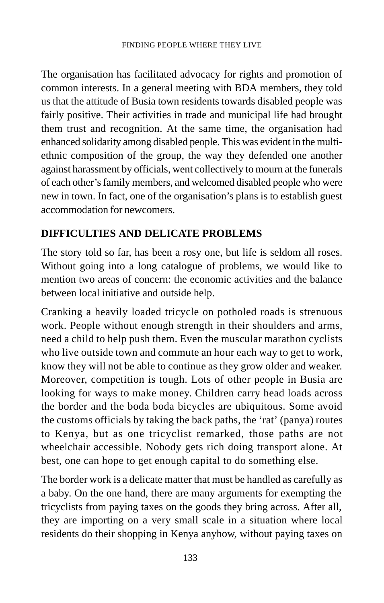The organisation has facilitated advocacy for rights and promotion of common interests. In a general meeting with BDA members, they told us that the attitude of Busia town residents towards disabled people was fairly positive. Their activities in trade and municipal life had brought them trust and recognition. At the same time, the organisation had enhanced solidarity among disabled people. This was evident in the multiethnic composition of the group, the way they defended one another against harassment by officials, went collectively to mourn at the funerals of each other's family members, and welcomed disabled people who were new in town. In fact, one of the organisation's plans is to establish guest accommodation for newcomers.

#### **DIFFICULTIES AND DELICATE PROBLEMS**

The story told so far, has been a rosy one, but life is seldom all roses. Without going into a long catalogue of problems, we would like to mention two areas of concern: the economic activities and the balance between local initiative and outside help.

Cranking a heavily loaded tricycle on potholed roads is strenuous work. People without enough strength in their shoulders and arms, need a child to help push them. Even the muscular marathon cyclists who live outside town and commute an hour each way to get to work, know they will not be able to continue as they grow older and weaker. Moreover, competition is tough. Lots of other people in Busia are looking for ways to make money. Children carry head loads across the border and the boda boda bicycles are ubiquitous. Some avoid the customs officials by taking the back paths, the 'rat' (panya) routes to Kenya, but as one tricyclist remarked, those paths are not wheelchair accessible. Nobody gets rich doing transport alone. At best, one can hope to get enough capital to do something else.

The border work is a delicate matter that must be handled as carefully as a baby. On the one hand, there are many arguments for exempting the tricyclists from paying taxes on the goods they bring across. After all, they are importing on a very small scale in a situation where local residents do their shopping in Kenya anyhow, without paying taxes on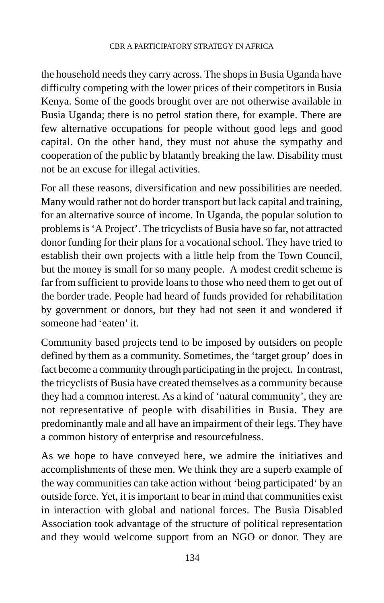the household needs they carry across. The shops in Busia Uganda have difficulty competing with the lower prices of their competitors in Busia Kenya. Some of the goods brought over are not otherwise available in Busia Uganda; there is no petrol station there, for example. There are few alternative occupations for people without good legs and good capital. On the other hand, they must not abuse the sympathy and cooperation of the public by blatantly breaking the law. Disability must not be an excuse for illegal activities.

For all these reasons, diversification and new possibilities are needed. Many would rather not do border transport but lack capital and training, for an alternative source of income. In Uganda, the popular solution to problems is 'A Project'. The tricyclists of Busia have so far, not attracted donor funding for their plans for a vocational school. They have tried to establish their own projects with a little help from the Town Council, but the money is small for so many people. A modest credit scheme is far from sufficient to provide loans to those who need them to get out of the border trade. People had heard of funds provided for rehabilitation by government or donors, but they had not seen it and wondered if someone had 'eaten' it.

Community based projects tend to be imposed by outsiders on people defined by them as a community. Sometimes, the 'target group' does in fact become a community through participating in the project. In contrast, the tricyclists of Busia have created themselves as a community because they had a common interest. As a kind of 'natural community', they are not representative of people with disabilities in Busia. They are predominantly male and all have an impairment of their legs. They have a common history of enterprise and resourcefulness.

As we hope to have conveyed here, we admire the initiatives and accomplishments of these men. We think they are a superb example of the way communities can take action without 'being participated' by an outside force. Yet, it is important to bear in mind that communities exist in interaction with global and national forces. The Busia Disabled Association took advantage of the structure of political representation and they would welcome support from an NGO or donor. They are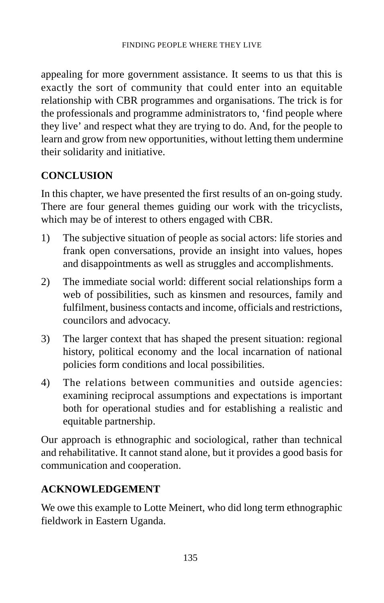appealing for more government assistance. It seems to us that this is exactly the sort of community that could enter into an equitable relationship with CBR programmes and organisations. The trick is for the professionals and programme administrators to, 'find people where they live' and respect what they are trying to do. And, for the people to learn and grow from new opportunities, without letting them undermine their solidarity and initiative.

### **CONCLUSION**

In this chapter, we have presented the first results of an on-going study. There are four general themes guiding our work with the tricyclists, which may be of interest to others engaged with CBR.

- 1) The subjective situation of people as social actors: life stories and frank open conversations, provide an insight into values, hopes and disappointments as well as struggles and accomplishments.
- 2) The immediate social world: different social relationships form a web of possibilities, such as kinsmen and resources, family and fulfilment, business contacts and income, officials and restrictions, councilors and advocacy.
- 3) The larger context that has shaped the present situation: regional history, political economy and the local incarnation of national policies form conditions and local possibilities.
- 4) The relations between communities and outside agencies: examining reciprocal assumptions and expectations is important both for operational studies and for establishing a realistic and equitable partnership.

Our approach is ethnographic and sociological, rather than technical and rehabilitative. It cannot stand alone, but it provides a good basis for communication and cooperation.

#### **ACKNOWLEDGEMENT**

We owe this example to Lotte Meinert, who did long term ethnographic fieldwork in Eastern Uganda.